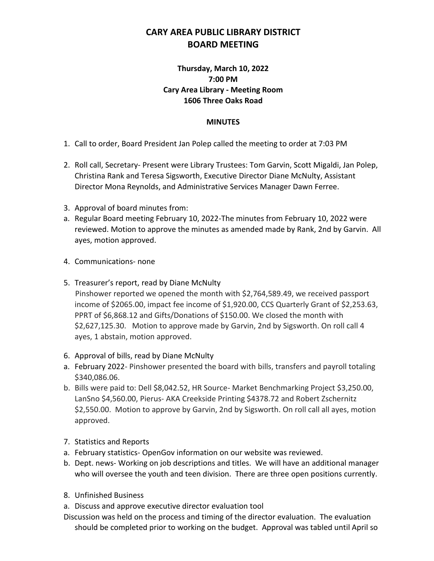## **CARY AREA PUBLIC LIBRARY DISTRICT BOARD MEETING**

## **Thursday, March 10, 2022 7:00 PM Cary Area Library - Meeting Room 1606 Three Oaks Road**

## **MINUTES**

- 1. Call to order, Board President Jan Polep called the meeting to order at 7:03 PM
- 2. Roll call, Secretary- Present were Library Trustees: Tom Garvin, Scott Migaldi, Jan Polep, Christina Rank and Teresa Sigsworth, Executive Director Diane McNulty, Assistant Director Mona Reynolds, and Administrative Services Manager Dawn Ferree.
- 3. Approval of board minutes from:
- a. Regular Board meeting February 10, 2022-The minutes from February 10, 2022 were reviewed. Motion to approve the minutes as amended made by Rank, 2nd by Garvin. All ayes, motion approved.
- 4. Communications- none
- 5. Treasurer's report, read by Diane McNulty

 Pinshower reported we opened the month with \$2,764,589.49, we received passport income of \$2065.00, impact fee income of \$1,920.00, CCS Quarterly Grant of \$2,253.63, PPRT of \$6,868.12 and Gifts/Donations of \$150.00. We closed the month with \$2,627,125.30. Motion to approve made by Garvin, 2nd by Sigsworth. On roll call 4 ayes, 1 abstain, motion approved.

- 6. Approval of bills, read by Diane McNulty
- a. February 2022- Pinshower presented the board with bills, transfers and payroll totaling \$340,086.06.
- b. Bills were paid to: Dell \$8,042.52, HR Source- Market Benchmarking Project \$3,250.00, LanSno \$4,560.00, Pierus- AKA Creekside Printing \$4378.72 and Robert Zschernitz \$2,550.00. Motion to approve by Garvin, 2nd by Sigsworth. On roll call all ayes, motion approved.
- 7. Statistics and Reports
- a. February statistics- OpenGov information on our website was reviewed.
- b. Dept. news- Working on job descriptions and titles. We will have an additional manager who will oversee the youth and teen division. There are three open positions currently.
- 8. Unfinished Business
- a. Discuss and approve executive director evaluation tool
- Discussion was held on the process and timing of the director evaluation. The evaluation should be completed prior to working on the budget. Approval was tabled until April so